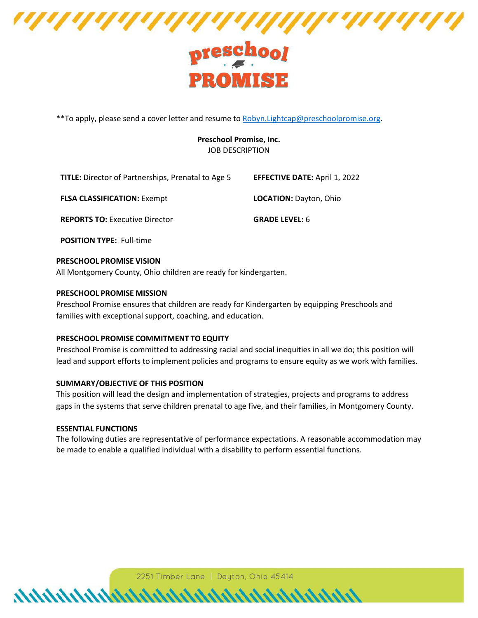

# PROMISE

\*\*To apply, please send a cover letter and resume to [Robyn.Lightcap@preschoolpromise.org.](mailto:Robyn.Lightcap@preschoolpromise.org)

# **Preschool Promise, Inc.** JOB DESCRIPTION

| <b>TITLE:</b> Director of Partnerships, Prenatal to Age 5 | <b>EFFECTIVE DATE: April 1, 2022</b> |
|-----------------------------------------------------------|--------------------------------------|
| <b>FLSA CLASSIFICATION: Exempt</b>                        | <b>LOCATION: Dayton, Ohio</b>        |
| <b>REPORTS TO: Executive Director</b>                     | <b>GRADE LEVEL: 6</b>                |

**POSITION TYPE:** Full-time

# **PRESCHOOL PROMISE VISION**

All Montgomery County, Ohio children are ready for kindergarten.

# **PRESCHOOL PROMISE MISSION**

Preschool Promise ensures that children are ready for Kindergarten by equipping Preschools and families with exceptional support, coaching, and education.

### **PRESCHOOL PROMISE COMMITMENT TO EQUITY**

Preschool Promise is committed to addressing racial and social inequities in all we do; this position will lead and support efforts to implement policies and programs to ensure equity as we work with families.

### **SUMMARY/OBJECTIVE OF THIS POSITION**

This position will lead the design and implementation of strategies, projects and programs to address gaps in the systems that serve children prenatal to age five, and their families, in Montgomery County.

### **ESSENTIAL FUNCTIONS**

The following duties are representative of performance expectations. A reasonable accommodation may be made to enable a qualified individual with a disability to perform essential functions.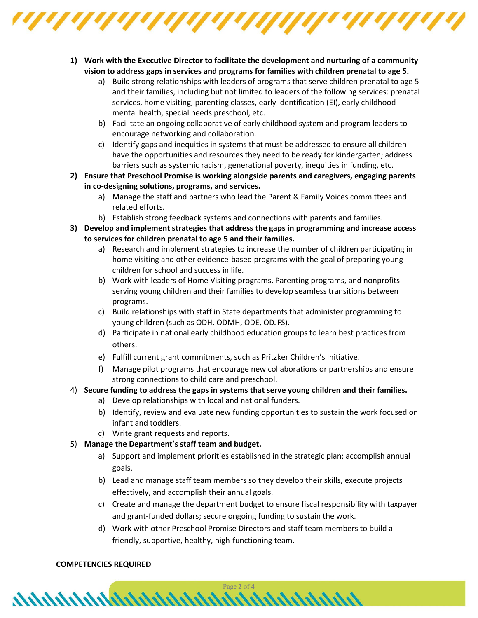

- **1) Work with the Executive Director to facilitate the development and nurturing of a community vision to address gaps in services and programs for families with children prenatal to age 5.**
	- a) Build strong relationships with leaders of programs that serve children prenatal to age 5 and their families, including but not limited to leaders of the following services: prenatal services, home visiting, parenting classes, early identification (EI), early childhood mental health, special needs preschool, etc.
	- b) Facilitate an ongoing collaborative of early childhood system and program leaders to encourage networking and collaboration.
	- c) Identify gaps and inequities in systems that must be addressed to ensure all children have the opportunities and resources they need to be ready for kindergarten; address barriers such as systemic racism, generational poverty, inequities in funding, etc.
- **2) Ensure that Preschool Promise is working alongside parents and caregivers, engaging parents in co-designing solutions, programs, and services.**
	- a) Manage the staff and partners who lead the Parent & Family Voices committees and related efforts.
	- b) Establish strong feedback systems and connections with parents and families.
- **3) Develop and implement strategies that address the gaps in programming and increase access to services for children prenatal to age 5 and their families.**
	- a) Research and implement strategies to increase the number of children participating in home visiting and other evidence-based programs with the goal of preparing young children for school and success in life.
	- b) Work with leaders of Home Visiting programs, Parenting programs, and nonprofits serving young children and their families to develop seamless transitions between programs.
	- c) Build relationships with staff in State departments that administer programming to young children (such as ODH, ODMH, ODE, ODJFS).
	- d) Participate in national early childhood education groups to learn best practices from others.
	- e) Fulfill current grant commitments, such as Pritzker Children's Initiative.
	- f) Manage pilot programs that encourage new collaborations or partnerships and ensure strong connections to child care and preschool.
- 4) **Secure funding to address the gaps in systems that serve young children and their families.**
	- a) Develop relationships with local and national funders.

 $\boldsymbol{A}$ 

- b) Identify, review and evaluate new funding opportunities to sustain the work focused on infant and toddlers.
- c) Write grant requests and reports.
- 5) **Manage the Department's staff team and budget.**
	- a) Support and implement priorities established in the strategic plan; accomplish annual goals.
	- b) Lead and manage staff team members so they develop their skills, execute projects effectively, and accomplish their annual goals.
	- c) Create and manage the department budget to ensure fiscal responsibility with taxpayer and grant-funded dollars; secure ongoing funding to sustain the work.
	- d) Work with other Preschool Promise Directors and staff team members to build a friendly, supportive, healthy, high-functioning team.

# **COMPETENCIES REQUIRED**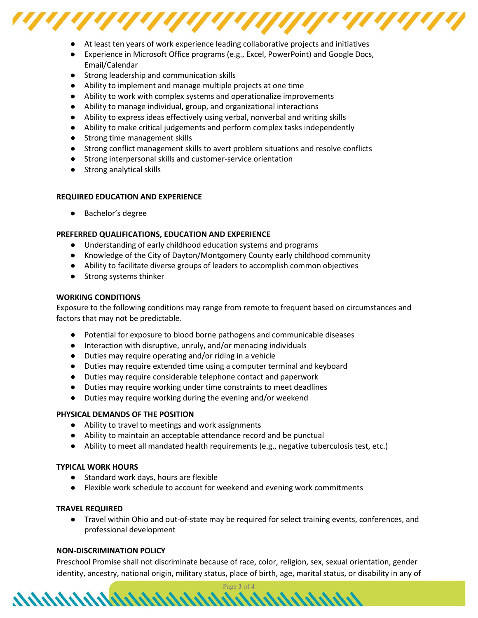

- At least ten years of work experience leading collaborative projects and initiatives
- Experience in Microsoft Office programs (e.g., Excel, PowerPoint) and Google Docs, Email/Calendar
- Strong leadership and communication skills
- Ability to implement and manage multiple projects at one time
- Ability to work with complex systems and operationalize improvements
- Ability to manage individual, group, and organizational interactions
- Ability to express ideas effectively using verbal, nonverbal and writing skills
- Ability to make critical judgements and perform complex tasks independently
- Strong time management skills
- Strong conflict management skills to avert problem situations and resolve conflicts
- Strong interpersonal skills and customer-service orientation
- Strong analytical skills

# **REQUIRED EDUCATION AND EXPERIENCE**

● Bachelor's degree

# **PREFERRED QUALIFICATIONS, EDUCATION AND EXPERIENCE**

- Understanding of early childhood education systems and programs
- Knowledge of the City of Dayton/Montgomery County early childhood community
- Ability to facilitate diverse groups of leaders to accomplish common objectives
- Strong systems thinker

### **WORKING CONDITIONS**

Exposure to the following conditions may range from remote to frequent based on circumstances and factors that may not be predictable.

- Potential for exposure to blood borne pathogens and communicable diseases
- Interaction with disruptive, unruly, and/or menacing individuals
- Duties may require operating and/or riding in a vehicle
- Duties may require extended time using a computer terminal and keyboard
- Duties may require considerable telephone contact and paperwork
- Duties may require working under time constraints to meet deadlines
- Duties may require working during the evening and/or weekend

# **PHYSICAL DEMANDS OF THE POSITION**

- Ability to travel to meetings and work assignments
- Ability to maintain an acceptable attendance record and be punctual
- Ability to meet all mandated health requirements (e.g., negative tuberculosis test, etc.)

### **TYPICAL WORK HOURS**

- Standard work days, hours are flexible
- Flexible work schedule to account for weekend and evening work commitments

### **TRAVEL REQUIRED**

● Travel within Ohio and out-of-state may be required for select training events, conferences, and professional development

# **NON-DISCRIMINATION POLICY**

Preschool Promise shall not discriminate because of race, color, religion, sex, sexual orientation, gender identity, ancestry, national origin, military status, place of birth, age, marital status, or disability in any of

Page **3** of **4**